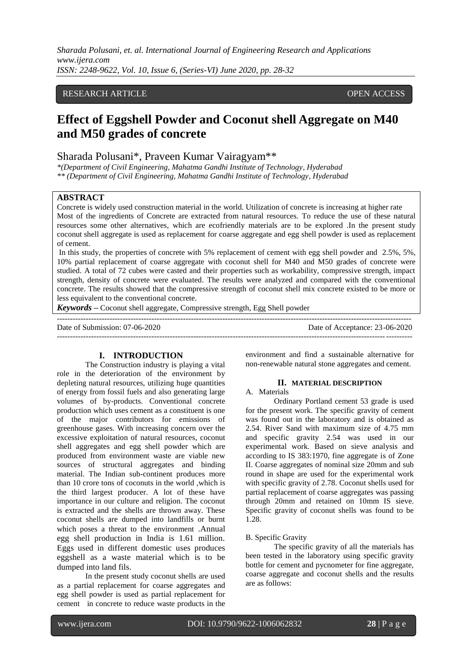*Sharada Polusani, et. al. International Journal of Engineering Research and Applications www.ijera.com ISSN: 2248-9622, Vol. 10, Issue 6, (Series-VI) June 2020, pp. 28-32*

# RESEARCH ARTICLE **CONSERVERS** OPEN ACCESS

# **Effect of Eggshell Powder and Coconut shell Aggregate on M40 and M50 grades of concrete**

# Sharada Polusani\*, Praveen Kumar Vairagyam\*\*

*\*(Department of Civil Engineering, Mahatma Gandhi Institute of Technology, Hyderabad \*\* (Department of Civil Engineering, Mahatma Gandhi Institute of Technology, Hyderabad*

# **ABSTRACT**

Concrete is widely used construction material in the world. Utilization of concrete is increasing at higher rate Most of the ingredients of Concrete are extracted from natural resources. To reduce the use of these natural resources some other alternatives, which are ecofriendly materials are to be explored .In the present study coconut shell aggregate is used as replacement for coarse aggregate and egg shell powder is used as replacement of cement.

In this study, the properties of concrete with 5% replacement of cement with egg shell powder and 2.5%, 5%, 10% partial replacement of coarse aggregate with coconut shell for M40 and M50 grades of concrete were studied. A total of 72 cubes were casted and their properties such as workability, compressive strength, impact strength, density of concrete were evaluated. The results were analyzed and compared with the conventional concrete. The results showed that the compressive strength of coconut shell mix concrete existed to be more or less equivalent to the conventional concrete.

*Keywords* **–** Coconut shell aggregate, Compressive strength, Egg Shell powder

| Date of Submission: 07-06-2020 | Date of Acceptance: 23-06-2020 |
|--------------------------------|--------------------------------|
|                                |                                |

# **I. INTRODUCTION**

The Construction industry is playing a vital role in the deterioration of the environment by depleting natural resources, utilizing huge quantities of energy from fossil fuels and also generating large volumes of by-products. Conventional concrete production which uses cement as a constituent is one of the major contributors for emissions of greenhouse gases. With increasing concern over the excessive exploitation of natural resources, coconut shell aggregates and egg shell powder which are produced from environment waste are viable new sources of structural aggregates and binding material. The Indian sub-continent produces more than 10 crore tons of coconuts in the world ,which is the third largest producer. A lot of these have importance in our culture and religion. The coconut is extracted and the shells are thrown away. These coconut shells are dumped into landfills or burnt which poses a threat to the environment .Annual egg shell production in India is 1.61 million. Eggs used in different domestic uses produces eggshell as a waste material which is to be dumped into land fils.

In the present study coconut shells are used as a partial replacement for coarse aggregates and egg shell powder is used as partial replacement for cement in concrete to reduce waste products in the

environment and find a sustainable alternative for non-renewable natural stone aggregates and cement.

#### **II. MATERIAL DESCRIPTION**

#### A. Materials

Ordinary Portland cement 53 grade is used for the present work. The specific gravity of cement was found out in the laboratory and is obtained as 2.54. River Sand with maximum size of 4.75 mm and specific gravity 2.54 was used in our experimental work. Based on sieve analysis and according to IS 383:1970, fine aggregate is of Zone II. Coarse aggregates of nominal size 20mm and sub round in shape are used for the experimental work with specific gravity of 2.78. Coconut shells used for partial replacement of coarse aggregates was passing through 20mm and retained on 10mm IS sieve. Specific gravity of coconut shells was found to be 1.28.

#### B. Specific Gravity

The specific gravity of all the materials has been tested in the laboratory using specific gravity bottle for cement and pycnometer for fine aggregate, coarse aggregate and coconut shells and the results are as follows: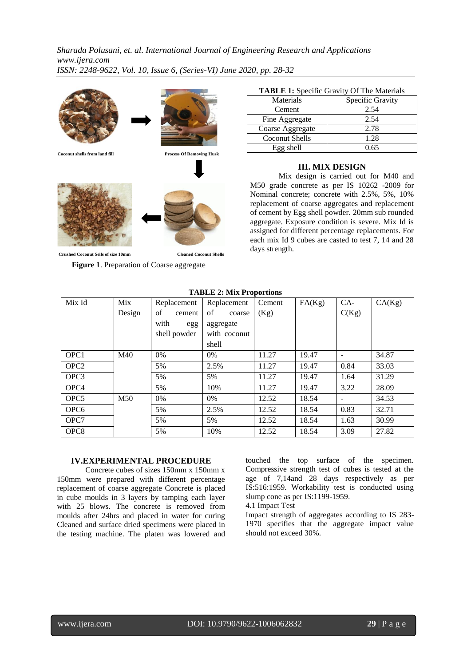*Sharada Polusani, et. al. International Journal of Engineering Research and Applications www.ijera.com ISSN: 2248-9622, Vol. 10, Issue 6, (Series-VI) June 2020, pp. 28-32*



**Crushed Coconut Sells of size 10mm Cleaned Coconut Shells**

**Figure 1**. Preparation of Coarse aggregate

| <b>TABLE 1:</b> Specific Gravity Of The Materials |  |
|---------------------------------------------------|--|
|---------------------------------------------------|--|

| Materials        | Specific Gravity |
|------------------|------------------|
| Cement           | 2.54             |
| Fine Aggregate   | 2.54             |
| Coarse Aggregate | 2.78             |
| Coconut Shells   | 1.28             |
| $Egg$ shell      | 0.65             |

#### **III. MIX DESIGN**

Mix design is carried out for M40 and M50 grade concrete as per IS 10262 -2009 for Nominal concrete; concrete with 2.5%, 5%, 10% replacement of coarse aggregates and replacement of cement by Egg shell powder. 20mm sub rounded aggregate. Exposure condition is severe. Mix Id is assigned for different percentage replacements. For each mix Id 9 cubes are casted to test 7, 14 and 28 days strength.

|                  | тирын эних тторогионы |              |              |        |        |       |        |
|------------------|-----------------------|--------------|--------------|--------|--------|-------|--------|
| Mix Id           | Mix                   | Replacement  | Replacement  | Cement | FA(Kg) | $CA-$ | CA(Kg) |
|                  | Design                | of<br>cement | of<br>coarse | (Kg)   |        | C(Kg) |        |
|                  |                       | with<br>egg  | aggregate    |        |        |       |        |
|                  |                       | shell powder | with coconut |        |        |       |        |
|                  |                       |              | shell        |        |        |       |        |
| OPC <sub>1</sub> | M40                   | $0\%$        | 0%           | 11.27  | 19.47  |       | 34.87  |
| OPC <sub>2</sub> |                       | 5%           | 2.5%         | 11.27  | 19.47  | 0.84  | 33.03  |
| OPC <sub>3</sub> |                       | 5%           | 5%           | 11.27  | 19.47  | 1.64  | 31.29  |
| OPC <sub>4</sub> |                       | 5%           | 10%          | 11.27  | 19.47  | 3.22  | 28.09  |
| OPC <sub>5</sub> | M50                   | 0%           | $0\%$        | 12.52  | 18.54  |       | 34.53  |
| OPC <sub>6</sub> |                       | 5%           | 2.5%         | 12.52  | 18.54  | 0.83  | 32.71  |
| OPC7             |                       | 5%           | 5%           | 12.52  | 18.54  | 1.63  | 30.99  |
| OPC <sub>8</sub> |                       | 5%           | 10%          | 12.52  | 18.54  | 3.09  | 27.82  |

## **TABLE 2: Mix Proportions**

#### **IV.EXPERIMENTAL PROCEDURE**

Concrete cubes of sizes 150mm x 150mm x 150mm were prepared with different percentage replacement of coarse aggregate Concrete is placed in cube moulds in 3 layers by tamping each layer with 25 blows. The concrete is removed from moulds after 24hrs and placed in water for curing Cleaned and surface dried specimens were placed in the testing machine. The platen was lowered and

touched the top surface of the specimen. Compressive strength test of cubes is tested at the age of 7,14and 28 days respectively as per IS:516:1959. Workability test is conducted using slump cone as per IS:1199-1959.

4.1 Impact Test

Impact strength of aggregates according to IS 283- 1970 specifies that the aggregate impact value should not exceed 30%.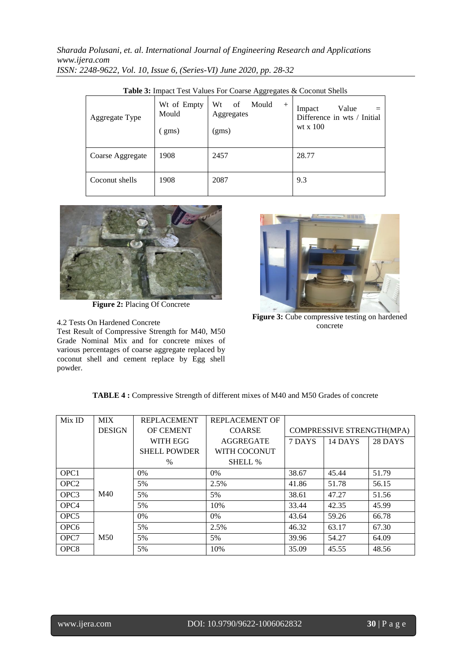*Sharada Polusani, et. al. International Journal of Engineering Research and Applications www.ijera.com ISSN: 2248-9622, Vol. 10, Issue 6, (Series-VI) June 2020, pp. 28-32*

| $\sim$           |                               |                                                    |                                                            |  |  |  |  |
|------------------|-------------------------------|----------------------------------------------------|------------------------------------------------------------|--|--|--|--|
| Aggregate Type   | Wt of Empty<br>Mould<br>(gms) | Wt<br>of<br>Mould<br>$^{+}$<br>Aggregates<br>(gms) | Value<br>Impact<br>Difference in wts / Initial<br>wt x 100 |  |  |  |  |
| Coarse Aggregate | 1908                          | 2457                                               | 28.77                                                      |  |  |  |  |
| Coconut shells   | 1908                          | 2087                                               | 9.3                                                        |  |  |  |  |

**Table 3:** Impact Test Values For Coarse Aggregates & Coconut Shells



**Figure 2:** Placing Of Concrete

4.2 Tests On Hardened Concrete

Test Result of Compressive Strength for M40, M50 Grade Nominal Mix and for concrete mixes of various percentages of coarse aggregate replaced by coconut shell and cement replace by Egg shell powder.



**Figure 3:** Cube compressive testing on hardened concrete

| TABLE 4 : Compressive Strength of different mixes of M40 and M50 Grades of concrete |  |
|-------------------------------------------------------------------------------------|--|
|-------------------------------------------------------------------------------------|--|

| Mix ID           | <b>MIX</b>      | <b>REPLACEMENT</b>  | REPLACEMENT OF   |        |                           |         |
|------------------|-----------------|---------------------|------------------|--------|---------------------------|---------|
|                  | <b>DESIGN</b>   | <b>OF CEMENT</b>    | <b>COARSE</b>    |        | COMPRESSIVE STRENGTH(MPA) |         |
|                  |                 | WITH EGG            | <b>AGGREGATE</b> | 7 DAYS | 14 DAYS                   | 28 DAYS |
|                  |                 | <b>SHELL POWDER</b> | WITH COCONUT     |        |                           |         |
|                  |                 | $\%$                | <b>SHELL %</b>   |        |                           |         |
| OPC <sub>1</sub> |                 | $0\%$               | 0%               | 38.67  | 45.44                     | 51.79   |
| OPC <sub>2</sub> |                 | 5%                  | 2.5%             | 41.86  | 51.78                     | 56.15   |
| OPC <sub>3</sub> | M40             | 5%                  | 5%               | 38.61  | 47.27                     | 51.56   |
| OPC <sub>4</sub> |                 | 5%                  | 10%              | 33.44  | 42.35                     | 45.99   |
| OPC <sub>5</sub> |                 | $0\%$               | $0\%$            | 43.64  | 59.26                     | 66.78   |
| OPC <sub>6</sub> |                 | 5%                  | 2.5%             | 46.32  | 63.17                     | 67.30   |
| OPC <sub>7</sub> | M <sub>50</sub> | 5%                  | 5%               | 39.96  | 54.27                     | 64.09   |
| OPC <sub>8</sub> |                 | 5%                  | 10%              | 35.09  | 45.55                     | 48.56   |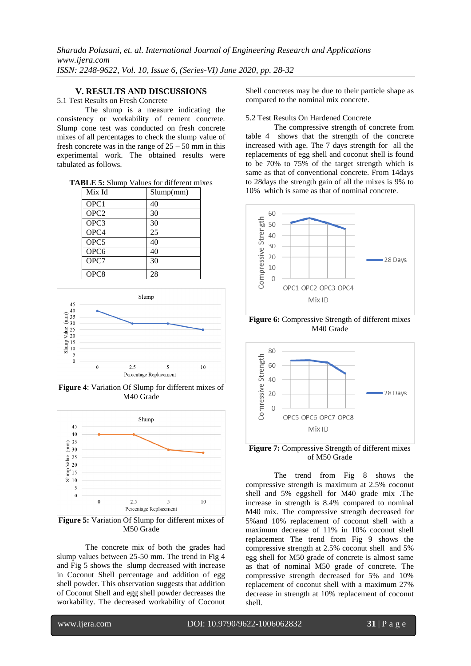# **V. RESULTS AND DISCUSSIONS**

#### 5.1 Test Results on Fresh Concrete

The slump is a measure indicating the consistency or workability of cement concrete. Slump cone test was conducted on fresh concrete mixes of all percentages to check the slump value of fresh concrete was in the range of  $25 - 50$  mm in this experimental work. The obtained results were tabulated as follows.

|  | <b>TABLE 5:</b> Slump Values for different mixes |  |
|--|--------------------------------------------------|--|
|--|--------------------------------------------------|--|

| Mix Id           | Slump(mm) |
|------------------|-----------|
| OPC1             | 40        |
| OPC <sub>2</sub> | 30        |
| OPC3             | 30        |
| OPC4             | 25        |
| OPC <sub>5</sub> | 40        |
| OPC <sub>6</sub> | 40        |
| OPC7             | 30        |
| OPC <sub>8</sub> | 28        |



**Figure 4**: Variation Of Slump for different mixes of M40 Grade



**Figure 5:** Variation Of Slump for different mixes of M50 Grade

The concrete mix of both the grades had slump values between 25-50 mm. The trend in Fig 4 and Fig 5 shows the slump decreased with increase in Coconut Shell percentage and addition of egg shell powder. This observation suggests that addition of Coconut Shell and egg shell powder decreases the workability. The decreased workability of Coconut

Shell concretes may be due to their particle shape as compared to the nominal mix concrete.

# 5.2 Test Results On Hardened Concrete

The compressive strength of concrete from table 4 shows that the strength of the concrete increased with age. The 7 days strength for all the replacements of egg shell and coconut shell is found to be 70% to 75% of the target strength which is same as that of conventional concrete. From 14days to 28days the strength gain of all the mixes is 9% to 10% which is same as that of nominal concrete.



**Figure 6:** Compressive Strength of different mixes M40 Grade



**Figure 7:** Compressive Strength of different mixes of M50 Grade

The trend from Fig 8 shows the compressive strength is maximum at 2.5% coconut shell and 5% eggshell for M40 grade mix .The increase in strength is 8.4% compared to nominal M40 mix. The compressive strength decreased for 5%and 10% replacement of coconut shell with a maximum decrease of 11% in 10% coconut shell replacement The trend from Fig 9 shows the compressive strength at 2.5% coconut shell and 5% egg shell for M50 grade of concrete is almost same as that of nominal M50 grade of concrete. The compressive strength decreased for 5% and 10% replacement of coconut shell with a maximum 27% decrease in strength at 10% replacement of coconut shell.